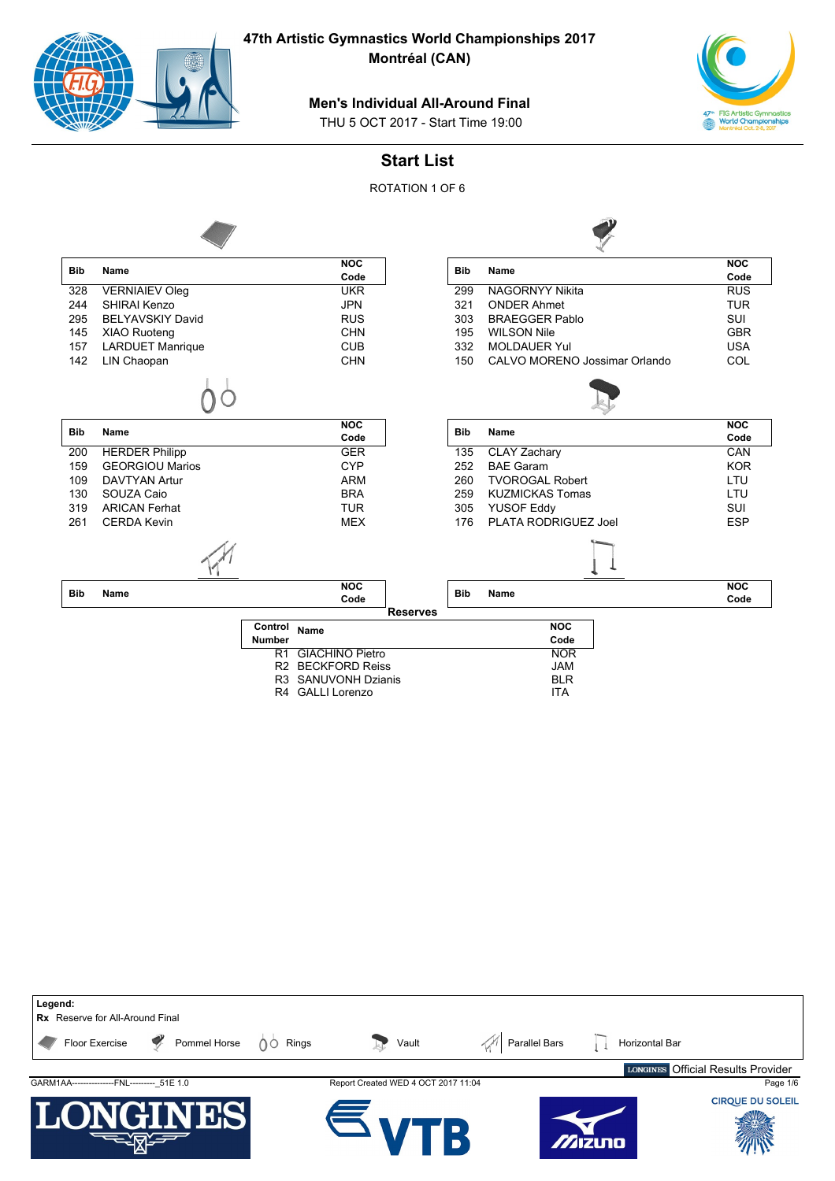

**Montréal (CAN)**



#### **Men's Individual All-Around Final**

THU 5 OCT 2017 - Start Time 19:00

### **Start List**

ROTATION 1 OF 6



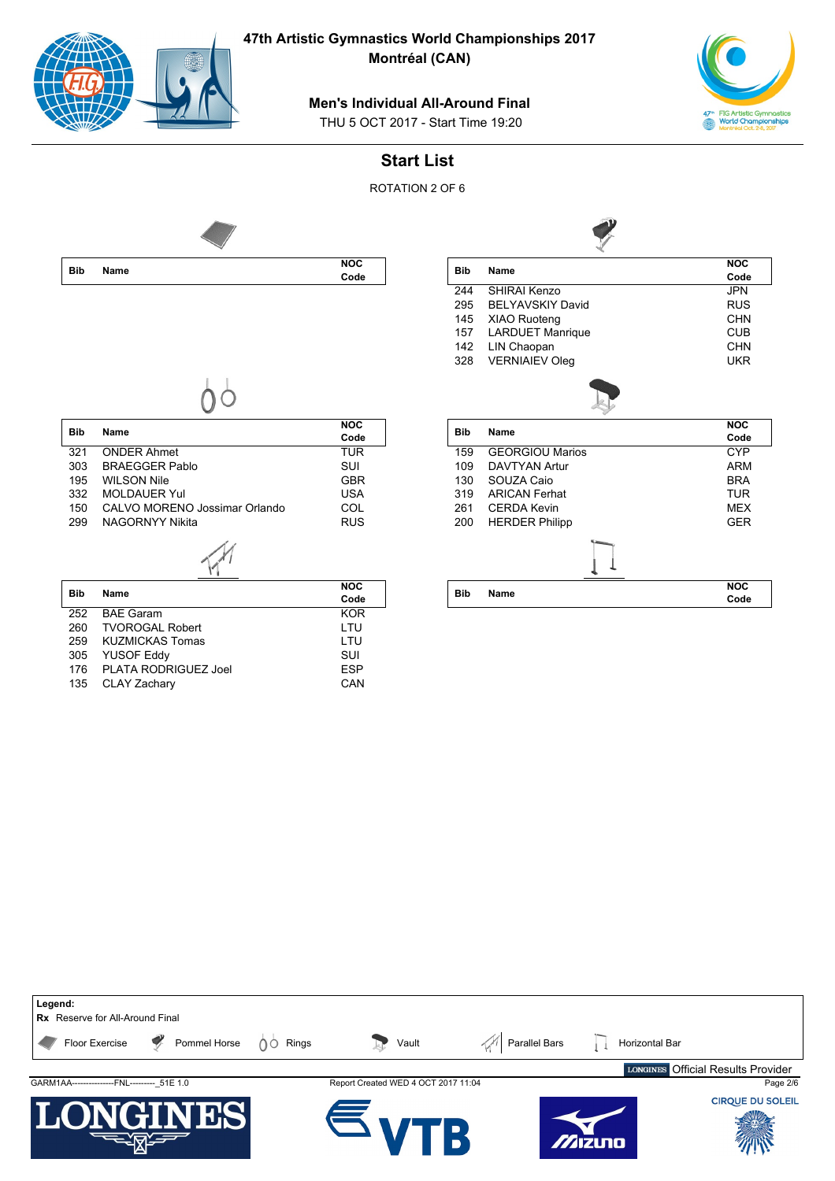

**47th Artistic Gymnastics World Championships 2017**

**Montréal (CAN)**



## **Men's Individual All-Around Final**

THU 5 OCT 2017 - Start Time 19:20

### **Start List**

ROTATION 2 OF 6



| <b>Bib</b> | Name                     | <b>NOC</b> |
|------------|--------------------------|------------|
|            |                          | Code       |
| 244        | SHIRAI Kenzo             | <b>JPN</b> |
| 295        | <b>BEI YAVSKIY David</b> | <b>RUS</b> |
| 145        | XIAO Ruoteng             | CHN        |
| 157        | <b>LARDUET Manrique</b>  | <b>CUB</b> |
| 142        | LIN Chaopan              | CHN        |
| 328        | <b>VERNIAIEV Oleg</b>    | <b>UKR</b> |
|            |                          |            |
|            |                          |            |
|            |                          | <b>NOC</b> |
| <b>Bib</b> | <b>Name</b>              | Code       |
| 159        | <b>GEORGIOU Marios</b>   | <b>CYP</b> |
| 109        | <b>DAVTYAN Artur</b>     | ARM        |
| 130        | SOUZA Caio               | <b>BRA</b> |
| 319        | <b>ARICAN Ferhat</b>     | <b>TUR</b> |
| 261        | CERDA Kevin              | <b>MFX</b> |
| 200        | <b>HERDER Philipp</b>    | <b>GFR</b> |
|            |                          |            |
| <b>Bib</b> | Name                     | <b>NOC</b> |

 $\rightarrow$ 

| <b>Bib</b> | Name                          | <b>NOC</b> |
|------------|-------------------------------|------------|
|            |                               | Code       |
| 321        | <b>ONDER Ahmet</b>            | <b>TUR</b> |
| 303        | <b>BRAEGGER Pablo</b>         | SUI        |
| 195        | <b>WILSON Nile</b>            | <b>GBR</b> |
| 332        | <b>MOLDAUER Yul</b>           | USA        |
| 150        | CALVO MORENO Jossimar Orlando | COL        |

150 CALVO MORENO Jossimar Orlando COL<br>299 NAGORNYY Nikita

 $\widetilde{\mathcal{M}}$ 

NAGORNYY Nikita

|            |                        | <b>NOC</b> |
|------------|------------------------|------------|
| <b>Bib</b> | <b>Name</b>            | Code       |
| 252        | <b>BAE Garam</b>       | <b>KOR</b> |
| 260        | <b>TVOROGAL Robert</b> | LTU        |
| 259        | KUZMICKAS Tomas        | I TU       |
| 305        | <b>YUSOF Eddy</b>      | SUI        |
| 176        | PLATA RODRIGUEZ Joel   | <b>ESP</b> |
| 135        | <b>CLAY Zachary</b>    | CAN        |

| Legend:<br><b>Rx</b> Reserve for All-Around Final |                                     |                      |                                    |
|---------------------------------------------------|-------------------------------------|----------------------|------------------------------------|
| Pommel Horse<br>Floor Exercise                    | Rings<br>Vault<br>∩○                | <b>Parallel Bars</b> | Horizontal Bar                     |
|                                                   |                                     |                      | LONGINES Official Results Provider |
| GARM1AA----------------FNL--------- 51E 1.0       | Report Created WED 4 OCT 2017 11:04 |                      | Page 2/6                           |
| I<br>$\blacksquare$                               |                                     | Mizuno               | <b>CIRQUE DU SOLEIL</b>            |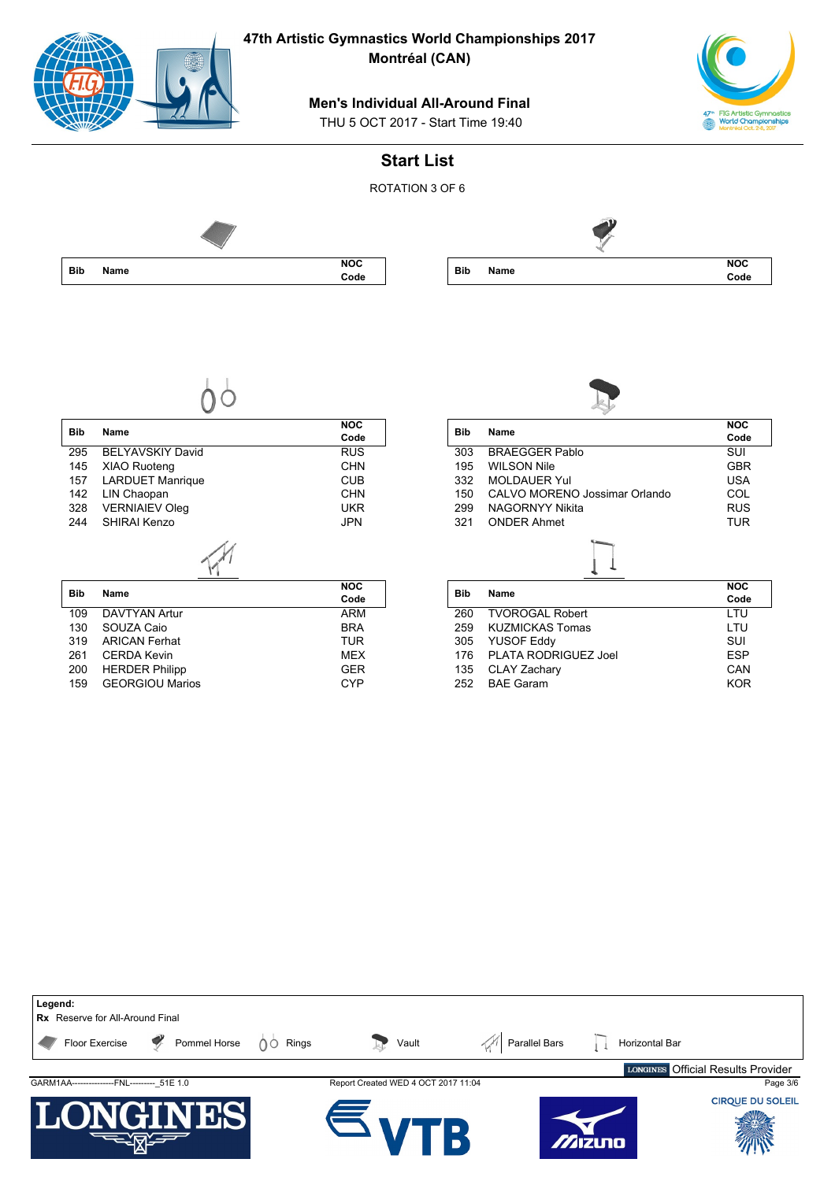|            | $\left( \frac{1}{2} \right)$                    | 47th Artistic Gymnastics World Championships 2017<br>Montréal (CAN)           |            |                                  |                                                                                       |
|------------|-------------------------------------------------|-------------------------------------------------------------------------------|------------|----------------------------------|---------------------------------------------------------------------------------------|
|            |                                                 | <b>Men's Individual All-Around Final</b><br>THU 5 OCT 2017 - Start Time 19:40 |            |                                  | 47 <sup>th</sup> FIG Artistic Gymnastics<br><b>World Championships</b><br>réal Oct. 2 |
|            |                                                 | <b>Start List</b>                                                             |            |                                  |                                                                                       |
|            |                                                 | ROTATION 3 OF 6                                                               |            |                                  |                                                                                       |
|            |                                                 |                                                                               |            |                                  |                                                                                       |
| <b>Bib</b> | Name                                            | <b>NOC</b><br>Code                                                            | <b>Bib</b> | Name                             | <b>NOC</b><br>Code                                                                    |
| <b>Bib</b> | Name                                            | <b>NOC</b><br>Code                                                            | <b>Bib</b> | Name                             | <b>NOC</b><br>Code                                                                    |
| 295        | BELYAVSKIY David                                | RUS                                                                           | 303        | <b>BRAEGGER Pablo</b>            | $\overline{\text{SUI}}$                                                               |
| 145        | XIAO Ruoteng                                    | <b>CHN</b>                                                                    | 195        | <b>WILSON Nile</b>               | <b>GBR</b>                                                                            |
| 157        | <b>LARDUET Manrique</b>                         | <b>CUB</b>                                                                    | 332        | <b>MOLDAUER Yul</b>              | <b>USA</b>                                                                            |
| 142        | LIN Chaopan                                     | <b>CHN</b>                                                                    | 150        | CALVO MORENO Jossimar Orlando    | COL                                                                                   |
| 328        | <b>VERNIAIEV Oleg</b>                           | <b>UKR</b>                                                                    | 299        | NAGORNYY Nikita                  | <b>RUS</b>                                                                            |
| 244        | SHIRAI Kenzo                                    | <b>JPN</b>                                                                    | 321        | <b>ONDER Ahmet</b>               | <b>TUR</b>                                                                            |
| <b>Bib</b> | <b>Name</b>                                     | NOC<br>Code                                                                   | <b>Bib</b> | <b>Name</b>                      | NOC<br>Code                                                                           |
| 109        | <b>DAVTYAN Artur</b>                            | <b>ARM</b>                                                                    | 260        | <b>TVOROGAL Robert</b>           | LTU                                                                                   |
| 130        | SOUZA Caio                                      | <b>BRA</b>                                                                    | 259        | <b>KUZMICKAS Tomas</b>           | LTU                                                                                   |
| 319        | <b>ARICAN Ferhat</b>                            | <b>TUR</b>                                                                    | 305        | <b>YUSOF Eddy</b>                | SUI                                                                                   |
| 261        | <b>CERDA Kevin</b>                              | <b>MEX</b>                                                                    | 176        | PLATA RODRIGUEZ Joel             | <b>ESP</b>                                                                            |
| 200        | <b>HERDER Philipp</b><br><b>GEORGIOU Marios</b> | <b>GER</b><br><b>CYP</b>                                                      | 135<br>252 | CLAY Zachary<br><b>BAE Garam</b> | CAN<br><b>KOR</b>                                                                     |
| 159        |                                                 |                                                                               |            |                                  |                                                                                       |

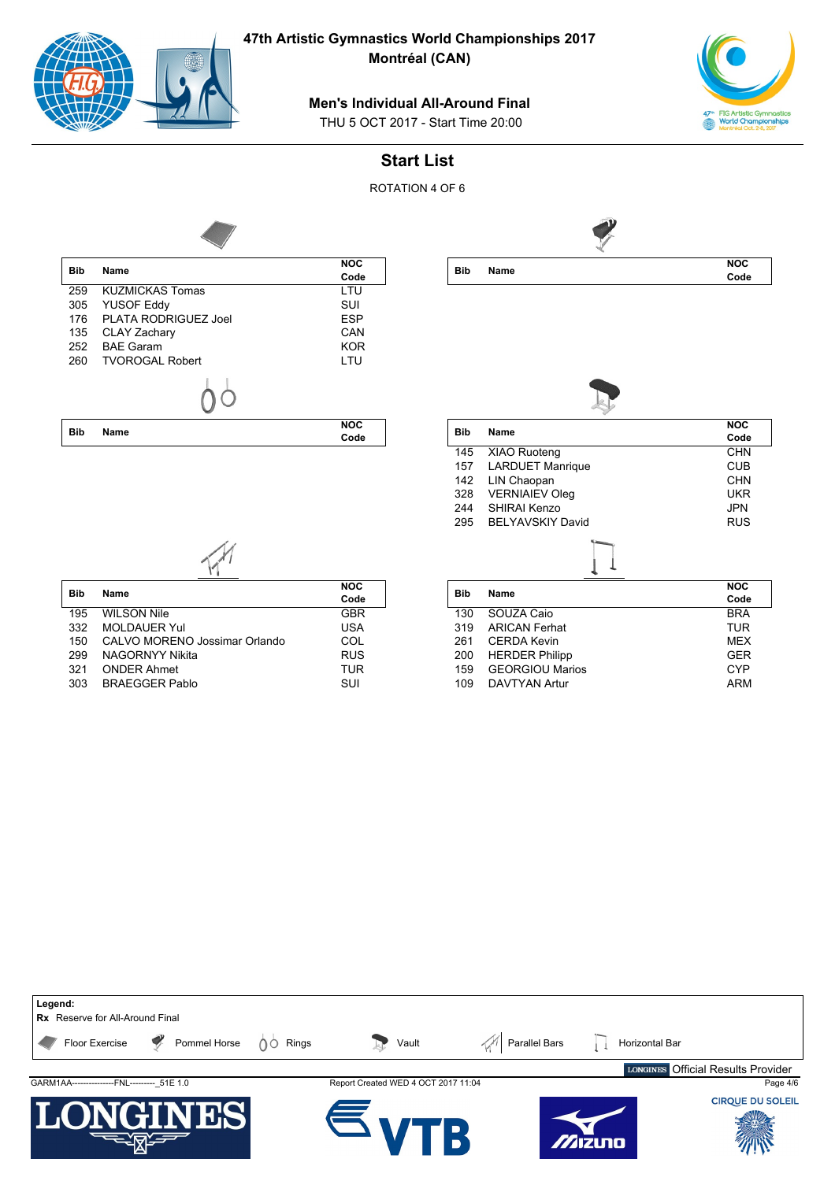

**Montréal (CAN)**



#### **Men's Individual All-Around Final**

THU 5 OCT 2017 - Start Time 20:00

### **Start List**

ROTATION 4 OF 6



**Bib Name NOC Code**



| Bib | Name                    | <b>NOC</b> |
|-----|-------------------------|------------|
|     |                         | Code       |
| 145 | XIAO Ruoteng            | CHN        |
| 157 | <b>LARDUET Manrique</b> | CUB        |
| 142 | LIN Chaopan             | CHN        |
| 328 | <b>VERNIAIEV Oleg</b>   | UKR        |
| 244 | SHIRAI Kenzo            | JPN        |
| 295 | <b>BELYAVSKIY David</b> | <b>RUS</b> |
|     |                         |            |
| Bib | Name                    | <b>NOC</b> |
|     |                         | Code       |
| 130 | SOUZA Caio              | <b>BRA</b> |
| 319 | <b>ARICAN Ferhat</b>    | <b>TUR</b> |
| 261 | <b>CERDA Kevin</b>      | <b>MEX</b> |
| 200 | <b>HERDER Philipp</b>   | <b>GER</b> |
| 159 | <b>GEORGIOU Marios</b>  | <b>CYP</b> |

109 DAVTYAN Artur **ARM** 

| Bib | Name                          | <b>NOC</b> |
|-----|-------------------------------|------------|
|     |                               | Code       |
| 195 | <b>WILSON Nile</b>            | <b>GBR</b> |
| 332 | <b>MOLDAUER Yul</b>           | <b>USA</b> |
| 150 | CALVO MORENO Jossimar Orlando | COL        |
| 299 | <b>NAGORNYY Nikita</b>        | <b>RUS</b> |

321 ONDER Ahmet TUR 303 BRAEGGER Pablo SUI

**Bib Name**

**Legend: Rx** Reserve for All-Around Final Floor Exercise  $\sqrt{\frac{1}{2}}$  Pommel Horse  $\sqrt{\frac{1}{2}}$  Rings Vault  $\sqrt{\frac{1}{2}}$  Parallel Bars  $\sqrt{1}$  Horizontal Bar Official Results ProviderGARM1AA------------------FNL-----------51E 1.0 Report Created WED 4 OCT 2017 11:04 Page 4/6 **CIROUE DU SOLEIL** Zizuna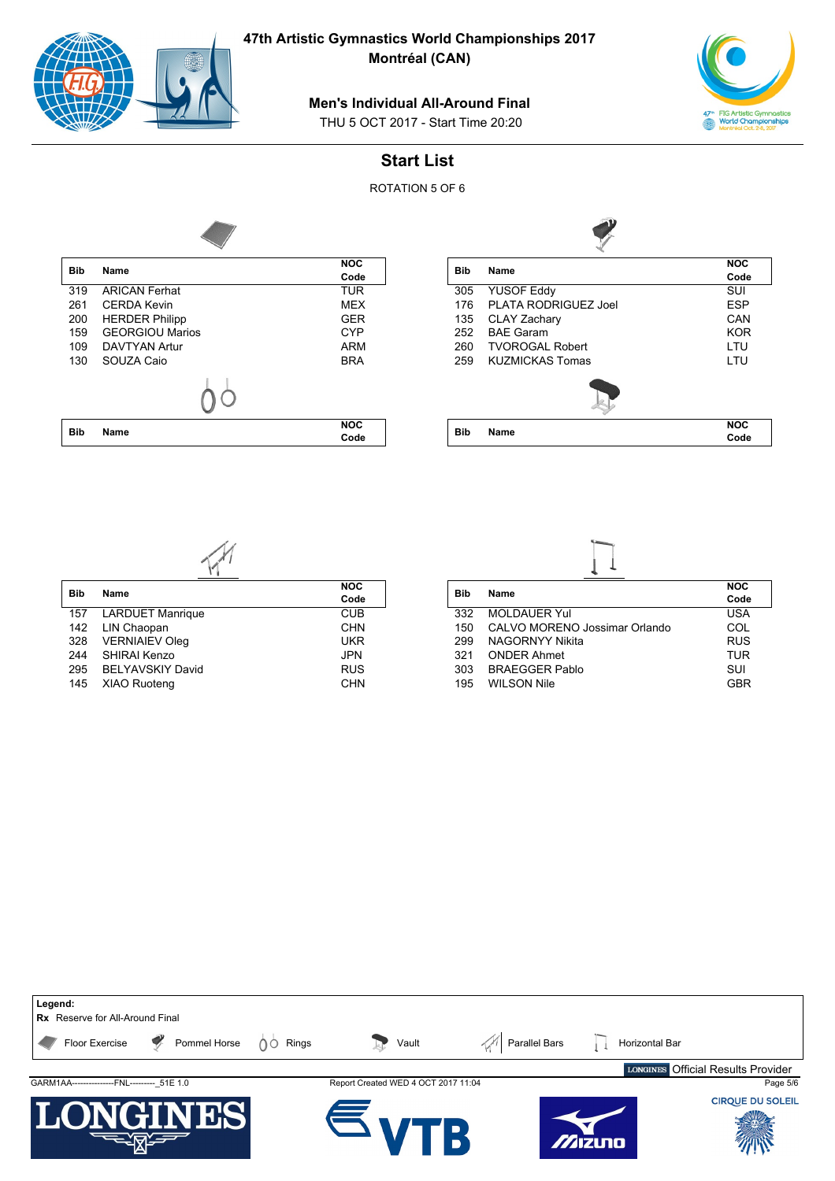

**Montréal (CAN)**

# 47<sup>th</sup> FIG Artistic Gymnastics<br>World Championships<br>Montréal Oct. 2-8, 2017

### **Men's Individual All-Around Final**

THU 5 OCT 2017 - Start Time 20:20

## **Start List**

ROTATION 5 OF 6



| <b>Bib</b> | Name                   | <b>NOC</b> |
|------------|------------------------|------------|
|            |                        | Code       |
| 319        | <b>ARICAN Ferhat</b>   | <b>TUR</b> |
| 261        | <b>CERDA Kevin</b>     | <b>MEX</b> |
| 200        | <b>HERDER Philipp</b>  | <b>GER</b> |
| 159        | <b>GEORGIOU Marios</b> | <b>CYP</b> |
| 109        | <b>DAVTYAN Artur</b>   | ARM        |
| 130        | SOUZA Caio             | <b>BRA</b> |
|            |                        |            |
|            |                        | <b>NOC</b> |
| <b>Bib</b> | Name                   | Code       |

| NOC        | <b>Bib</b> | Name                   | <b>NOC</b> |
|------------|------------|------------------------|------------|
| Code       |            |                        | Code       |
| TUR        | 305        | <b>YUSOF Eddy</b>      | SUI        |
| <b>MEX</b> | 176        | PLATA RODRIGUEZ Joel   | <b>ESP</b> |
| GER        | 135        | <b>CLAY Zachary</b>    | CAN        |
| CYP        | 252        | <b>BAE Garam</b>       | <b>KOR</b> |
| ARM        | 260        | <b>TVOROGAL Robert</b> | LTU        |
| <b>BRA</b> | 259        | <b>KUZMICKAS Tomas</b> | LTU        |
|            |            |                        |            |
| <b>NOC</b> | <b>Bib</b> |                        | <b>NOC</b> |
| Code       |            | Name                   | Code       |

| <b>Bib</b> | Name                    | <b>NOC</b> |
|------------|-------------------------|------------|
|            |                         | Code       |
| 157        | <b>LARDUET Manrique</b> | <b>CUB</b> |
| 142        | LIN Chaopan             | <b>CHN</b> |
| 328        | <b>VERNIAIEV Oleg</b>   | <b>UKR</b> |
| 244        | SHIRAI Kenzo            | <b>JPN</b> |
| 295        | <b>BELYAVSKIY David</b> | <b>RUS</b> |

145 XIAO Ruoteng CHN

| <b>Bib</b> | Name                          | <b>NOC</b> |
|------------|-------------------------------|------------|
|            |                               | Code       |
| 332        | <b>MOLDAUER Yul</b>           | <b>USA</b> |
| 150        | CALVO MORENO Jossimar Orlando | COL        |
| 299        | <b>NAGORNYY Nikita</b>        | <b>RUS</b> |
| 321        | <b>ONDER Ahmet</b>            | TUR        |

303 BRAEGGER Pablo<br>195 WILSON Nile Suite Suite Suite Suite Suite Suite Suite Suite Suite Suite Suite Suite Suite Suite Suite Suit

195 WILSON Nile